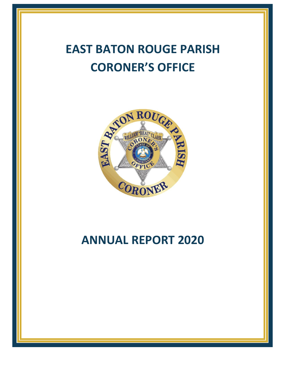# **EAST BATON ROUGE PARISH CORONER'S OFFICE**



# **ANNUAL REPORT 2020**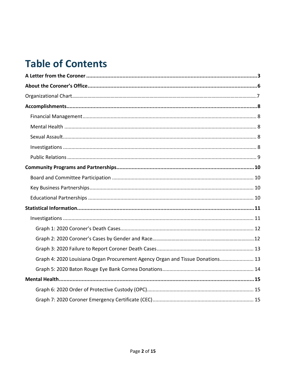# **Table of Contents**

| Graph 4: 2020 Louisiana Organ Procurement Agency Organ and Tissue Donations 13 |
|--------------------------------------------------------------------------------|
|                                                                                |
|                                                                                |
|                                                                                |
|                                                                                |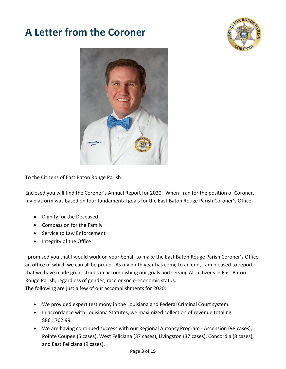### <span id="page-2-0"></span>**A Letter from the Coroner**





To the Citizens of East Baton Rouge Parish:

Enclosed you will find the Coroner's Annual Report for 2020. When I ran for the position of Coroner, my platform was based on four fundamental goals for the East Baton Rouge Parish Coroner's Office:

- Dignity for the Deceased
- Compassion for the Family
- Service to Law Enforcement
- Integrity of the Office

I promised you that I would work on your behalf to make the East Baton Rouge Parish Coroner's Office an office of which we can all be proud. As my ninth year has come to an end, I am pleased to report that we have made great strides in accomplishing our goals and serving ALL citizens in East Baton Rouge Parish, regardless of gender, race or socio-economic status. The following are just a few of our accomplishments for 2020:

- We provided expert testimony in the Louisiana and Federal Criminal Court system.
- In accordance with Louisiana Statutes, we maximized collection of revenue totaling \$861,762.99.
- We are having continued success with our Regional Autopsy Program Ascension (98 cases), Pointe Coupee (5 cases), West Feliciana (37 cases), Livingston (37 cases), Concordia (8 cases), and East Feliciana (9 cases).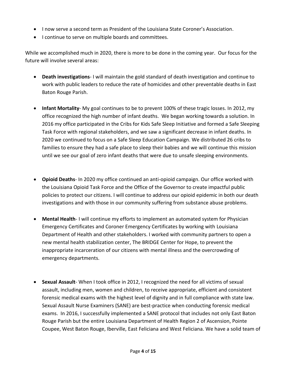- I now serve a second term as President of the Louisiana State Coroner's Association.
- I continue to serve on multiple boards and committees.

While we accomplished much in 2020, there is more to be done in the coming year. Our focus for the future will involve several areas:

- **Death investigations** I will maintain the gold standard of death investigation and continue to work with public leaders to reduce the rate of homicides and other preventable deaths in East Baton Rouge Parish.
- **Infant Mortality** My goal continues to be to prevent 100% of these tragic losses. In 2012, my office recognized the high number of infant deaths. We began working towards a solution. In 2016 my office participated in the Cribs for Kids Safe Sleep Initiative and formed a Safe Sleeping Task Force with regional stakeholders, and we saw a significant decrease in infant deaths. In 2020 we continued to focus on a Safe Sleep Education Campaign. We distributed 26 cribs to families to ensure they had a safe place to sleep their babies and we will continue this mission until we see our goal of zero infant deaths that were due to unsafe sleeping environments.
- **Opioid Deaths** In 2020 my office continued an anti-opioid campaign. Our office worked with the Louisiana Opioid Task Force and the Office of the Governor to create impactful public policies to protect our citizens. I will continue to address our opioid epidemic in both our death investigations and with those in our community suffering from substance abuse problems.
- **Mental Health** I will continue my efforts to implement an automated system for Physician Emergency Certificates and Coroner Emergency Certificates by working with Louisiana Department of Health and other stakeholders. I worked with community partners to open a new mental health stabilization center, The BRIDGE Center for Hope, to prevent the inappropriate incarceration of our citizens with mental illness and the overcrowding of emergency departments.
- **Sexual Assault** When I took office in 2012, I recognized the need for all victims of sexual assault, including men, women and children, to receive appropriate, efficient and consistent forensic medical exams with the highest level of dignity and in full compliance with state law. Sexual Assault Nurse Examiners (SANE) are best-practice when conducting forensic medical exams. In 2016, I successfully implemented a SANE protocol that includes not only East Baton Rouge Parish but the entire Louisiana Department of Health Region 2 of Ascension, Pointe Coupee, West Baton Rouge, Iberville, East Feliciana and West Feliciana. We have a solid team of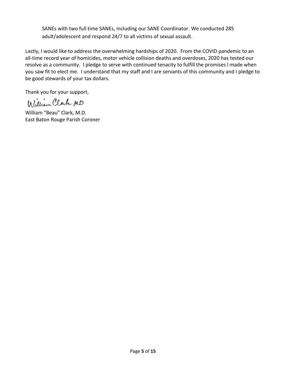SANEs with two full time SANEs, including our SANE Coordinator. We conducted 285 adult/adolescent and respond 24/7 to all victims of sexual assault.

Lastly, I would like to address the overwhelming hardships of 2020. From the COVID pandemic to an all-time record year of homicides, motor vehicle collision deaths and overdoses, 2020 has tested our resolve as a community. I pledge to serve with continued tenacity to fulfill the promises I made when you saw fit to elect me. I understand that my staff and I are servants of this community and I pledge to be good stewards of your tax dollars.

Thank you for your support,

William Clark MD

William "Beau" Clark, M.D. East Baton Rouge Parish Coroner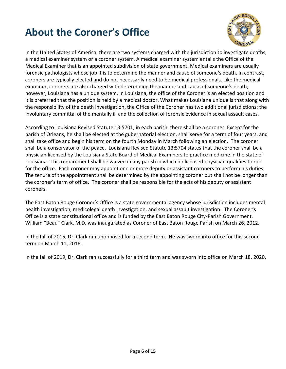# <span id="page-5-0"></span>**About the Coroner's Office**



In the United States of America, there are two systems charged with the jurisdiction to investigate deaths, a medical examiner system or a coroner system. A medical examiner system entails the Office of the Medical Examiner that is an appointed subdivision of state government. Medical examiners are usually forensic pathologists whose job it is to determine the manner and cause of someone's death. In contrast, coroners are typically elected and do not necessarily need to be medical professionals. Like the medical examiner, coroners are also charged with determining the manner and cause of someone's death; however, Louisiana has a unique system. In Louisiana, the office of the Coroner is an elected position and it is preferred that the position is held by a medical doctor. What makes Louisiana unique is that along with the responsibility of the death investigation, the Office of the Coroner has two additional jurisdictions: the involuntary committal of the mentally ill and the collection of forensic evidence in sexual assault cases.

According to Louisiana Revised Statute 13:5701, in each parish, there shall be a coroner. Except for the parish of Orleans, he shall be elected at the gubernatorial election, shall serve for a term of four years, and shall take office and begin his term on the fourth Monday in March following an election. The coroner shall be a conservator of the peace. Louisiana Revised Statute 13:5704 states that the coroner shall be a physician licensed by the Louisiana State Board of Medical Examiners to practice medicine in the state of Louisiana. This requirement shall be waived in any parish in which no licensed physician qualifies to run for the office. Each coroner may appoint one or more deputy or assistant coroners to perform his duties. The tenure of the appointment shall be determined by the appointing coroner but shall not be longer than the coroner's term of office. The coroner shall be responsible for the acts of his deputy or assistant coroners.

The East Baton Rouge Coroner's Office is a state governmental agency whose jurisdiction includes mental health investigation, medicolegal death investigation, and sexual assault investigation. The Coroner's Office is a state constitutional office and is funded by the East Baton Rouge City-Parish Government. William "Beau" Clark, M.D. was inaugurated as Coroner of East Baton Rouge Parish on March 26, 2012.

In the fall of 2015, Dr. Clark ran unopposed for a second term. He was sworn into office for this second term on March 11, 2016.

In the fall of 2019, Dr. Clark ran successfully for a third term and was sworn into office on March 18, 2020.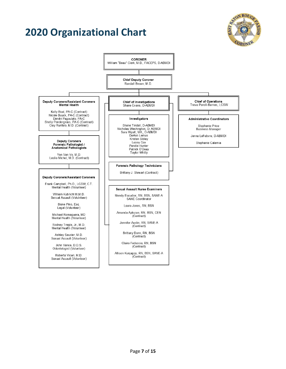## **2020 Organizational Chart**



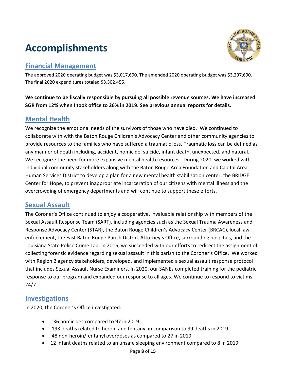# <span id="page-7-0"></span>**Accomplishments**



### <span id="page-7-1"></span>**Financial Management**

The approved 2020 operating budget was \$3,017,690. The amended 2020 operating budget was \$3,297,690. The final 2020 expenditures totaled \$3,302,455.

#### **We continue to be fiscally responsible by pursuing all possible revenue sources. We have increased SGR from 12% when I took office to 26% in 2019. See previous annual reports for details.**

### <span id="page-7-2"></span>**Mental Health**

We recognize the emotional needs of the survivors of those who have died. We continued to collaborate with with the Baton Rouge Children's Advocacy Center and other community agencies to provide resources to the families who have suffered a traumatic loss. Traumatic loss can be defined as any manner of death including, accident, homicide, suicide, infant death, unexpected, and natural. We recognize the need for more expansive mental health resources. During 2020, we worked with individual community stakeholders along with the Baton Rouge Area Foundation and Capital Area Human Services District to develop a plan for a new mental health stabilization center, the BRIDGE Center for Hope, to prevent inappropriate incarceration of our citizens with mental illness and the overcrowding of emergency departments and will continue to support these efforts.

### <span id="page-7-3"></span>**Sexual Assault**

The Coroner's Office continued to enjoy a cooperative, invaluable relationship with members of the Sexual Assault Response Team (SART), including agencies such as the Sexual Trauma Awareness and Response Advocacy Center (STAR), the Baton Rouge Children's Advocacy Center (BRCAC), local law enforcement, the East Baton Rouge Parish District Attorney's Office, surrounding hospitals, and the Louisiana State Police Crime Lab. In 2016, we succeeded with our efforts to redirect the assignment of collecting forensic evidence regarding sexual assault in this parish to the Coroner's Office. We worked with Region 2 agency stakeholders, developed, and implemented a sexual assault response protocol that includes Sexual Assault Nurse Examiners. In 2020, our SANEs completed training for the pediatric response to our program and expanded our response to all ages. We continue to respond to victims 24/7.

### <span id="page-7-4"></span>**Investigations**

In 2020, the Coroner's Office investigated:

- 136 homicides compared to 97 in 2019
- 193 deaths related to heroin and fentanyl in comparison to 99 deaths in 2019
- 48 non-heroin/fentanyl overdoses as compared to 27 in 2019
- 12 infant deaths related to an unsafe sleeping environment compared to 8 in 2019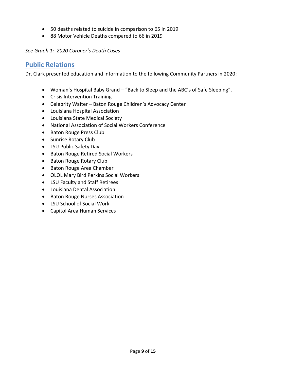- 50 deaths related to suicide in comparison to 65 in 2019
- 88 Motor Vehicle Deaths compared to 66 in 2019

*See Graph 1: 2020 Coroner's Death Cases*

#### <span id="page-8-0"></span>**Public Relations**

Dr. Clark presented education and information to the following Community Partners in 2020:

- Woman's Hospital Baby Grand "Back to Sleep and the ABC's of Safe Sleeping".
- Crisis Intervention Training
- Celebrity Waiter Baton Rouge Children's Advocacy Center
- Louisiana Hospital Association
- Louisiana State Medical Society
- National Association of Social Workers Conference
- Baton Rouge Press Club
- Sunrise Rotary Club
- LSU Public Safety Day
- Baton Rouge Retired Social Workers
- Baton Rouge Rotary Club
- Baton Rouge Area Chamber
- OLOL Mary Bird Perkins Social Workers
- LSU Faculty and Staff Retirees
- Louisiana Dental Association
- Baton Rouge Nurses Association
- LSU School of Social Work
- Capitol Area Human Services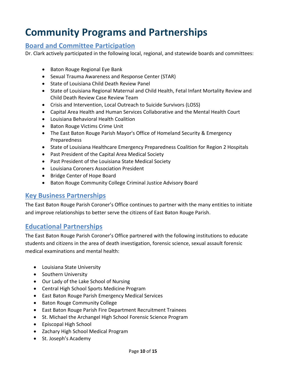### <span id="page-9-0"></span>**Community Programs and Partnerships**

### <span id="page-9-1"></span>**Board and Committee Participation**

Dr. Clark actively participated in the following local, regional, and statewide boards and committees:

- Baton Rouge Regional Eye Bank
- Sexual Trauma Awareness and Response Center (STAR)
- State of Louisiana Child Death Review Panel
- State of Louisiana Regional Maternal and Child Health, Fetal Infant Mortality Review and Child Death Review Case Review Team
- Crisis and Intervention, Local Outreach to Suicide Survivors (LOSS)
- Capital Area Health and Human Services Collaborative and the Mental Health Court
- Louisiana Behavioral Health Coalition
- Baton Rouge Victims Crime Unit
- The East Baton Rouge Parish Mayor's Office of Homeland Security & Emergency Preparedness
- State of Louisiana Healthcare Emergency Preparedness Coalition for Region 2 Hospitals
- Past President of the Capital Area Medical Society
- Past President of the Louisiana State Medical Society
- Louisiana Coroners Association President
- Bridge Center of Hope Board
- Baton Rouge Community College Criminal Justice Advisory Board

### <span id="page-9-2"></span>**Key Business Partnerships**

The East Baton Rouge Parish Coroner's Office continues to partner with the many entities to initiate and improve relationships to better serve the citizens of East Baton Rouge Parish.

### <span id="page-9-3"></span>**Educational Partnerships**

The East Baton Rouge Parish Coroner's Office partnered with the following institutions to educate students and citizens in the area of death investigation, forensic science, sexual assault forensic medical examinations and mental health:

- Louisiana State University
- **•** Southern University
- Our Lady of the Lake School of Nursing
- Central High School Sports Medicine Program
- East Baton Rouge Parish Emergency Medical Services
- Baton Rouge Community College
- East Baton Rouge Parish Fire Department Recruitment Trainees
- St. Michael the Archangel High School Forensic Science Program
- Episcopal High School
- Zachary High School Medical Program
- St. Joseph's Academy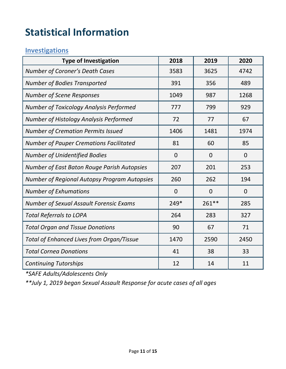# <span id="page-10-0"></span>**Statistical Information**

### <span id="page-10-1"></span>**Investigations**

| <b>Type of Investigation</b>                        | 2018           | 2019           | 2020           |
|-----------------------------------------------------|----------------|----------------|----------------|
| <b>Number of Coroner's Death Cases</b>              | 3583           | 3625           | 4742           |
| <b>Number of Bodies Transported</b>                 | 391            | 356            | 489            |
| <b>Number of Scene Responses</b>                    | 1049           | 987            | 1268           |
| <b>Number of Toxicology Analysis Performed</b>      | 777            | 799            | 929            |
| Number of Histology Analysis Performed              | 72             | 77             | 67             |
| <b>Number of Cremation Permits Issued</b>           | 1406           | 1481           | 1974           |
| <b>Number of Pauper Cremations Facilitated</b>      | 81             | 60             | 85             |
| <b>Number of Unidentified Bodies</b>                | $\overline{0}$ | $\overline{0}$ | $\overline{0}$ |
| Number of East Baton Rouge Parish Autopsies         | 207            | 201            | 253            |
| <b>Number of Regional Autopsy Program Autopsies</b> | 260            | 262            | 194            |
| <b>Number of Exhumations</b>                        | $\overline{0}$ | $\mathbf 0$    | $\mathbf 0$    |
| <b>Number of Sexual Assault Forensic Exams</b>      | 249*           | 261 **         | 285            |
| <b>Total Referrals to LOPA</b>                      | 264            | 283            | 327            |
| <b>Total Organ and Tissue Donations</b>             | 90             | 67             | 71             |
| <b>Total of Enhanced Lives from Organ/Tissue</b>    | 1470           | 2590           | 2450           |
| <b>Total Cornea Donations</b>                       | 41             | 38             | 33             |
| <b>Continuing Tutorships</b>                        | 12             | 14             | 11             |

*\*SAFE Adults/Adolescents Only*

*\*\*July 1, 2019 began Sexual Assault Response for acute cases of all ages*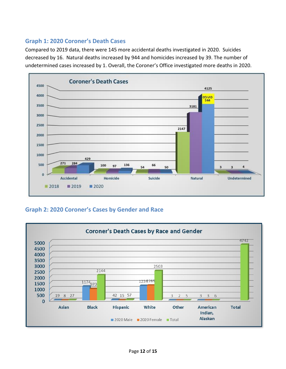#### <span id="page-11-0"></span>**Graph 1: 2020 Coroner's Death Cases**

Compared to 2019 data, there were 145 more accidental deaths investigated in 2020. Suicides decreased by 16. Natural deaths increased by 944 and homicides increased by 39. The number of undetermined cases increased by 1. Overall, the Coroner's Office investigated more deaths in 2020.



#### **Graph 2: 2020 Coroner's Cases by Gender and Race**

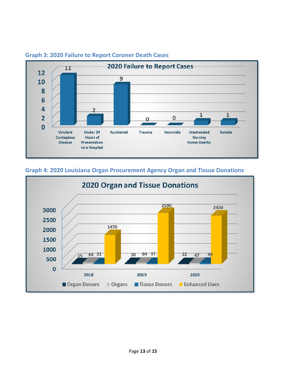

#### <span id="page-12-0"></span>**Graph 3: 2020 Failure to Report Coroner Death Cases**

<span id="page-12-2"></span>Organ Donors



Organs

#### <span id="page-12-1"></span>**Graph 4: 2020 Louisiana Organ Procurement Agency Organ and Tissue Donations**

Tissue Donors Enhanced Lives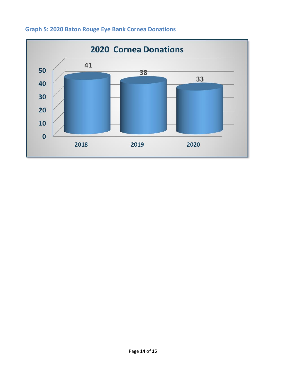<span id="page-13-0"></span>

### **Graph 5: 2020 Baton Rouge Eye Bank Cornea Donations**